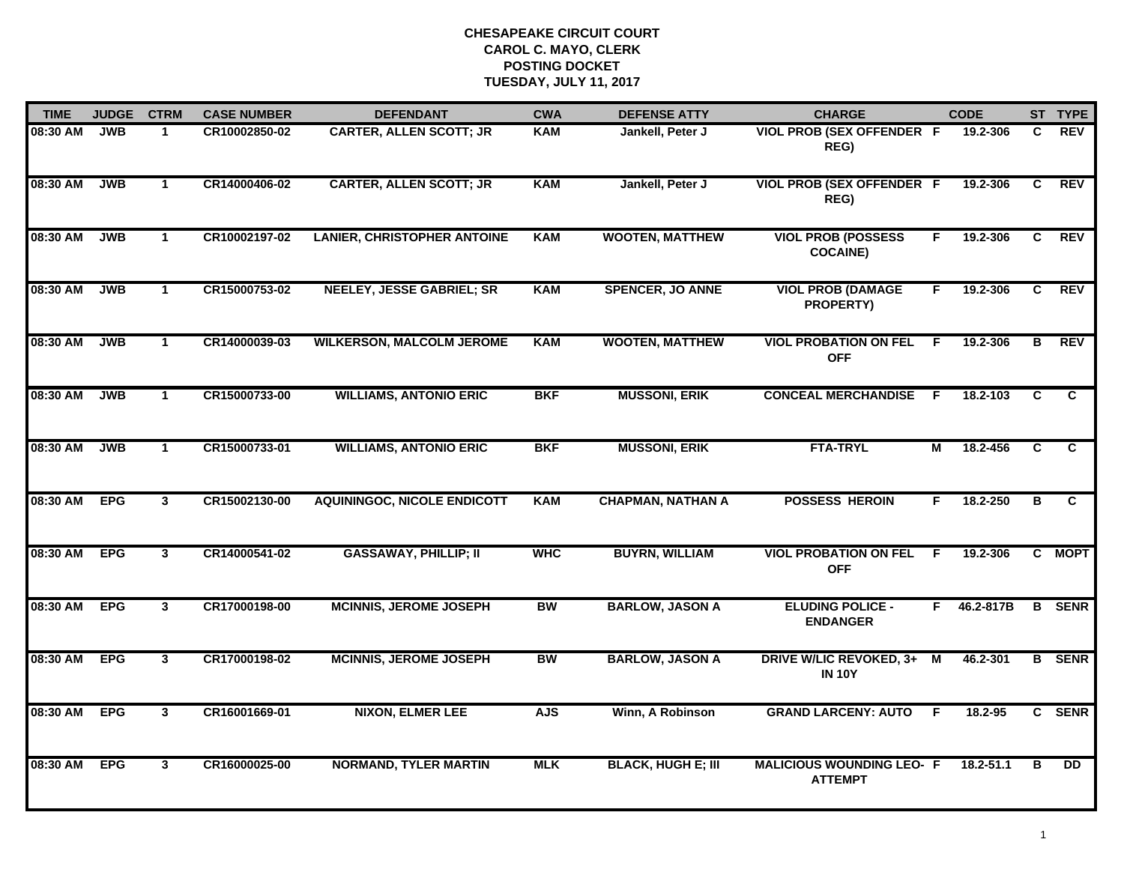| <b>TIME</b> | <b>JUDGE</b> | <b>CTRM</b>    | <b>CASE NUMBER</b> | <b>DEFENDANT</b>                   | <b>CWA</b> | <b>DEFENSE ATTY</b>       | <b>CHARGE</b>                                      |    | <b>CODE</b> |                | ST TYPE        |
|-------------|--------------|----------------|--------------------|------------------------------------|------------|---------------------------|----------------------------------------------------|----|-------------|----------------|----------------|
| 08:30 AM    | <b>JWB</b>   | -1             | CR10002850-02      | <b>CARTER, ALLEN SCOTT; JR</b>     | <b>KAM</b> | Jankell, Peter J          | <b>VIOL PROB (SEX OFFENDER F</b><br>REG)           |    | 19.2-306    | C.             | REV            |
| 08:30 AM    | <b>JWB</b>   | $\mathbf{1}$   | CR14000406-02      | <b>CARTER, ALLEN SCOTT; JR</b>     | <b>KAM</b> | Jankell, Peter J          | <b>VIOL PROB (SEX OFFENDER F</b><br>REG)           |    | 19.2-306    | C              | REV            |
| 08:30 AM    | <b>JWB</b>   | $\mathbf{1}$   | CR10002197-02      | <b>LANIER, CHRISTOPHER ANTOINE</b> | <b>KAM</b> | <b>WOOTEN, MATTHEW</b>    | <b>VIOL PROB (POSSESS</b><br><b>COCAINE)</b>       | F. | 19.2-306    | C              | REV            |
| 08:30 AM    | <b>JWB</b>   | $\mathbf 1$    | CR15000753-02      | <b>NEELEY, JESSE GABRIEL; SR</b>   | <b>KAM</b> | <b>SPENCER, JO ANNE</b>   | <b>VIOL PROB (DAMAGE</b><br>PROPERTY)              | F. | 19.2-306    | C.             | <b>REV</b>     |
| 08:30 AM    | <b>JWB</b>   | $\mathbf{1}$   | CR14000039-03      | <b>WILKERSON, MALCOLM JEROME</b>   | <b>KAM</b> | <b>WOOTEN, MATTHEW</b>    | <b>VIOL PROBATION ON FEL</b><br><b>OFF</b>         | E  | 19.2-306    | В              | <b>REV</b>     |
| 08:30 AM    | <b>JWB</b>   | $\mathbf{1}$   | CR15000733-00      | <b>WILLIAMS, ANTONIO ERIC</b>      | <b>BKF</b> | <b>MUSSONI, ERIK</b>      | <b>CONCEAL MERCHANDISE</b>                         | -F | 18.2-103    | C              | C.             |
| 08:30 AM    | <b>JWB</b>   | $\mathbf{1}$   | CR15000733-01      | <b>WILLIAMS, ANTONIO ERIC</b>      | <b>BKF</b> | <b>MUSSONI, ERIK</b>      | <b>FTA-TRYL</b>                                    | М  | 18.2-456    | $\overline{c}$ | $\overline{c}$ |
| 08:30 AM    | <b>EPG</b>   | $\mathbf{3}$   | CR15002130-00      | <b>AQUININGOC, NICOLE ENDICOTT</b> | <b>KAM</b> | <b>CHAPMAN, NATHAN A</b>  | <b>POSSESS HEROIN</b>                              | F. | 18.2-250    | в              | C.             |
| 08:30 AM    | <b>EPG</b>   | $\mathbf{3}$   | CR14000541-02      | <b>GASSAWAY, PHILLIP; II</b>       | <b>WHC</b> | <b>BUYRN, WILLIAM</b>     | <b>VIOL PROBATION ON FEL</b><br><b>OFF</b>         | F  | 19.2-306    |                | C MOPT         |
| 08:30 AM    | <b>EPG</b>   | $\mathbf{3}$   | CR17000198-00      | <b>MCINNIS, JEROME JOSEPH</b>      | <b>BW</b>  | <b>BARLOW, JASON A</b>    | <b>ELUDING POLICE -</b><br><b>ENDANGER</b>         | F. | 46.2-817B   |                | <b>B</b> SENR  |
| 08:30 AM    | <b>EPG</b>   | $\overline{3}$ | CR17000198-02      | <b>MCINNIS, JEROME JOSEPH</b>      | <b>BW</b>  | <b>BARLOW, JASON A</b>    | DRIVE W/LIC REVOKED, 3+ M<br><b>IN 10Y</b>         |    | 46.2-301    |                | <b>B</b> SENR  |
| 08:30 AM    | <b>EPG</b>   | $\overline{3}$ | CR16001669-01      | <b>NIXON, ELMER LEE</b>            | <b>AJS</b> | Winn, A Robinson          | <b>GRAND LARCENY: AUTO</b>                         | E  | 18.2-95     |                | C SENR         |
| 08:30 AM    | <b>EPG</b>   | $\mathbf{3}$   | CR16000025-00      | <b>NORMAND, TYLER MARTIN</b>       | <b>MLK</b> | <b>BLACK, HUGH E; III</b> | <b>MALICIOUS WOUNDING LEO- F</b><br><b>ATTEMPT</b> |    | 18.2-51.1   | в              | <b>DD</b>      |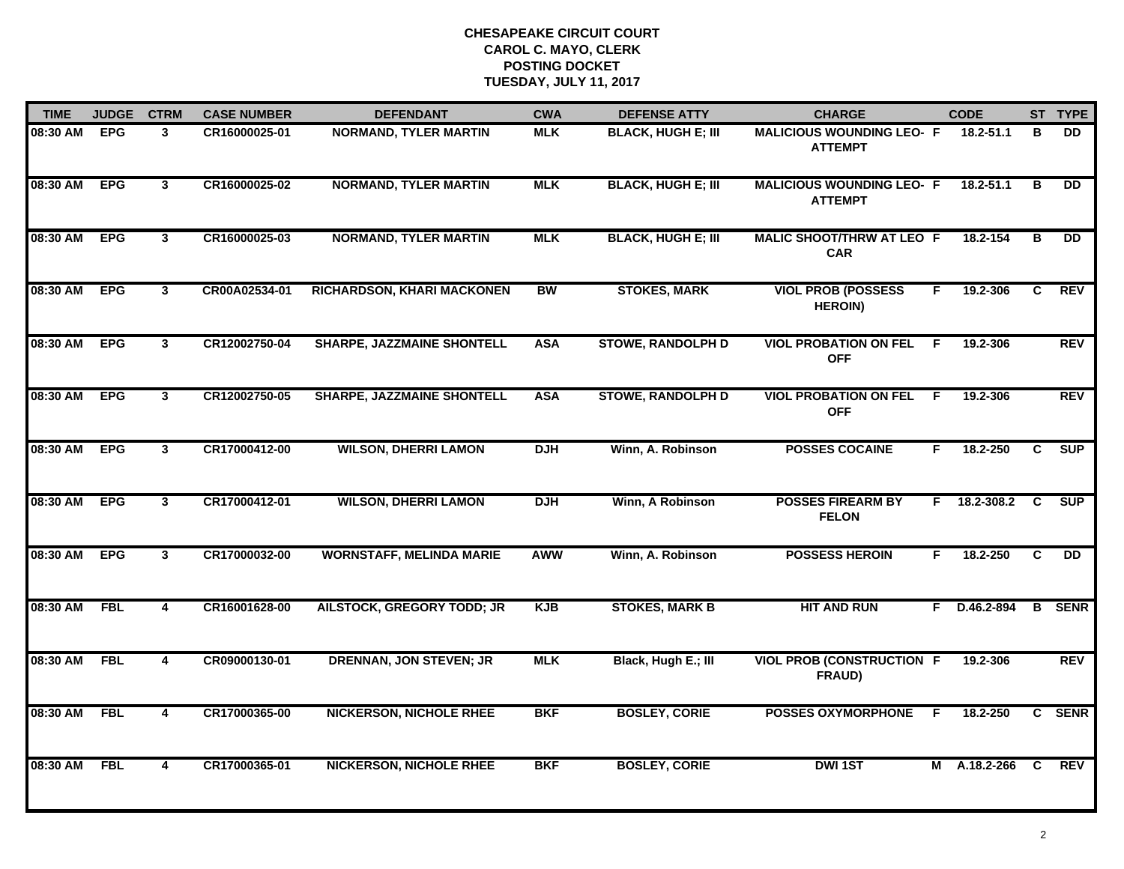| <b>TIME</b>  | <b>JUDGE</b> | <b>CTRM</b>             | <b>CASE NUMBER</b> | <b>DEFENDANT</b>                  | <b>CWA</b> | <b>DEFENSE ATTY</b>       | <b>CHARGE</b>                                      | <b>CODE</b>      |                | ST TYPE       |
|--------------|--------------|-------------------------|--------------------|-----------------------------------|------------|---------------------------|----------------------------------------------------|------------------|----------------|---------------|
| 08:30 AM EPG |              | 3                       | CR16000025-01      | <b>NORMAND, TYLER MARTIN</b>      | <b>MLK</b> | <b>BLACK, HUGH E; III</b> | <b>MALICIOUS WOUNDING LEO- F</b><br><b>ATTEMPT</b> | 18.2-51.1        | в              | <b>DD</b>     |
| 08:30 AM     | <b>EPG</b>   | $\mathbf{3}$            | CR16000025-02      | <b>NORMAND, TYLER MARTIN</b>      | <b>MLK</b> | <b>BLACK, HUGH E; III</b> | <b>MALICIOUS WOUNDING LEO- F</b><br><b>ATTEMPT</b> | 18.2-51.1        | в              | <b>DD</b>     |
| 08:30 AM     | <b>EPG</b>   | 3                       | CR16000025-03      | <b>NORMAND, TYLER MARTIN</b>      | <b>MLK</b> | <b>BLACK, HUGH E; III</b> | <b>MALIC SHOOT/THRW AT LEO F</b><br><b>CAR</b>     | 18.2-154         | в              | <b>DD</b>     |
| 08:30 AM     | <b>EPG</b>   | 3                       | CR00A02534-01      | RICHARDSON, KHARI MACKONEN        | <b>BW</b>  | <b>STOKES, MARK</b>       | <b>VIOL PROB (POSSESS</b><br><b>HEROIN)</b>        | 19.2-306<br>F.   | C              | <b>REV</b>    |
| 08:30 AM     | <b>EPG</b>   | $\mathbf{3}$            | CR12002750-04      | <b>SHARPE, JAZZMAINE SHONTELL</b> | <b>ASA</b> | <b>STOWE, RANDOLPH D</b>  | <b>VIOL PROBATION ON FEL</b><br><b>OFF</b>         | F.<br>19.2-306   |                | <b>REV</b>    |
| 08:30 AM EPG |              | $\mathbf{3}$            | CR12002750-05      | <b>SHARPE, JAZZMAINE SHONTELL</b> | <b>ASA</b> | <b>STOWE, RANDOLPH D</b>  | <b>VIOL PROBATION ON FEL</b><br><b>OFF</b>         | F<br>19.2-306    |                | REV           |
| 08:30 AM     | <b>EPG</b>   | $\overline{3}$          | CR17000412-00      | <b>WILSON, DHERRI LAMON</b>       | DJH        | Winn, A. Robinson         | <b>POSSES COCAINE</b>                              | F<br>18.2-250    | $\overline{c}$ | SUP           |
| 08:30 AM     | <b>EPG</b>   | 3                       | CR17000412-01      | <b>WILSON, DHERRI LAMON</b>       | <b>DJH</b> | Winn, A Robinson          | <b>POSSES FIREARM BY</b><br><b>FELON</b>           | 18.2-308.2<br>F. | C              | SUP           |
| 08:30 AM     | <b>EPG</b>   | 3                       | CR17000032-00      | <b>WORNSTAFF, MELINDA MARIE</b>   | <b>AWW</b> | Winn, A. Robinson         | <b>POSSESS HEROIN</b>                              | 18.2-250<br>F.   | C              | <b>DD</b>     |
| 08:30 AM     | <b>FBL</b>   | 4                       | CR16001628-00      | <b>AILSTOCK, GREGORY TODD; JR</b> | <b>KJB</b> | <b>STOKES, MARK B</b>     | <b>HIT AND RUN</b>                                 | F D.46.2-894     |                | <b>B</b> SENR |
| 08:30 AM     | FBL          | $\overline{\mathbf{4}}$ | CR09000130-01      | <b>DRENNAN, JON STEVEN; JR</b>    | <b>MLK</b> | Black, Hugh E.; III       | <b>VIOL PROB (CONSTRUCTION F</b><br>FRAUD)         | 19.2-306         |                | <b>REV</b>    |
| 08:30 AM     | <b>FBL</b>   | 4                       | CR17000365-00      | <b>NICKERSON, NICHOLE RHEE</b>    | <b>BKF</b> | <b>BOSLEY, CORIE</b>      | <b>POSSES OXYMORPHONE</b>                          | 18.2-250<br>F.   |                | C SENR        |
| 08:30 AM     | <b>FBL</b>   | 4                       | CR17000365-01      | <b>NICKERSON, NICHOLE RHEE</b>    | <b>BKF</b> | <b>BOSLEY, CORIE</b>      | <b>DWI1ST</b>                                      | M A.18.2-266     | C              | <b>REV</b>    |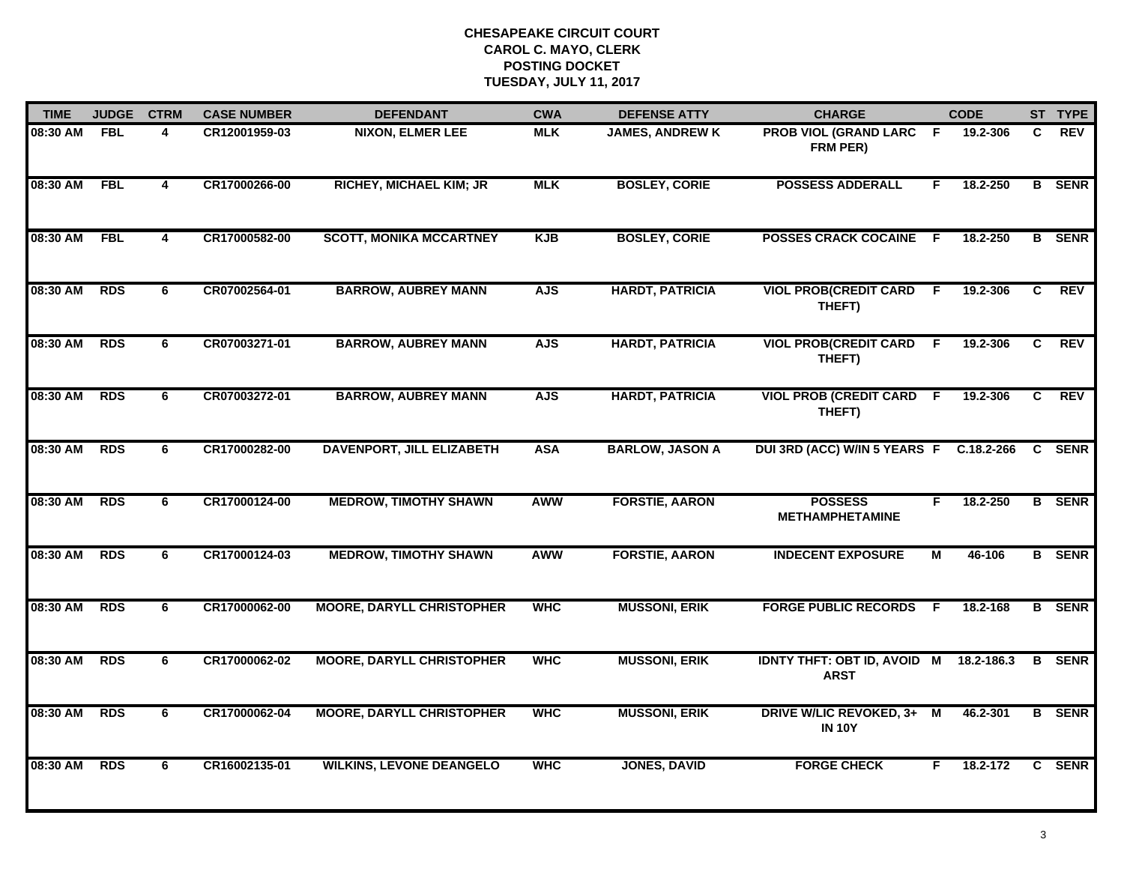| <b>TIME</b>  | <b>JUDGE</b> | <b>CTRM</b>             | <b>CASE NUMBER</b> | <b>DEFENDANT</b>                 | <b>CWA</b> | <b>DEFENSE ATTY</b>    | <b>CHARGE</b>                                     |                | <b>CODE</b> |    | ST TYPE       |
|--------------|--------------|-------------------------|--------------------|----------------------------------|------------|------------------------|---------------------------------------------------|----------------|-------------|----|---------------|
| 08:30 AM     | <b>FBL</b>   | 4                       | CR12001959-03      | <b>NIXON, ELMER LEE</b>          | <b>MLK</b> | <b>JAMES, ANDREW K</b> | <b>PROB VIOL (GRAND LARC</b><br>FRM PER)          | - F            | 19.2-306    | C. | <b>REV</b>    |
| 08:30 AM FBL |              | $\overline{\mathbf{4}}$ | CR17000266-00      | <b>RICHEY, MICHAEL KIM; JR</b>   | <b>MLK</b> | <b>BOSLEY, CORIE</b>   | <b>POSSESS ADDERALL</b>                           | F              | 18.2-250    |    | <b>B</b> SENR |
| 08:30 AM     | <b>FBL</b>   | $\overline{4}$          | CR17000582-00      | <b>SCOTT, MONIKA MCCARTNEY</b>   | <b>KJB</b> | <b>BOSLEY, CORIE</b>   | <b>POSSES CRACK COCAINE F</b>                     |                | 18.2-250    |    | <b>B</b> SENR |
| 08:30 AM     | <b>RDS</b>   | 6                       | CR07002564-01      | <b>BARROW, AUBREY MANN</b>       | <b>AJS</b> | <b>HARDT, PATRICIA</b> | <b>VIOL PROB(CREDIT CARD</b><br>THEFT)            | F.             | 19.2-306    | C  | <b>REV</b>    |
| 08:30 AM     | <b>RDS</b>   | 6                       | CR07003271-01      | <b>BARROW, AUBREY MANN</b>       | <b>AJS</b> | <b>HARDT, PATRICIA</b> | <b>VIOL PROB(CREDIT CARD</b><br>THEFT)            | F.             | 19.2-306    | C  | <b>REV</b>    |
| 08:30 AM RDS |              | 6                       | CR07003272-01      | <b>BARROW, AUBREY MANN</b>       | <b>AJS</b> | <b>HARDT, PATRICIA</b> | <b>VIOL PROB (CREDIT CARD F</b><br>THEFT)         |                | 19.2-306    | C. | <b>REV</b>    |
| 08:30 AM     | <b>RDS</b>   | 6                       | CR17000282-00      | <b>DAVENPORT, JILL ELIZABETH</b> | <b>ASA</b> | <b>BARLOW, JASON A</b> | DUI 3RD (ACC) W/IN 5 YEARS F C.18.2-266           |                |             | C. | <b>SENR</b>   |
| 08:30 AM     | <b>RDS</b>   | 6                       | CR17000124-00      | <b>MEDROW, TIMOTHY SHAWN</b>     | <b>AWW</b> | <b>FORSTIE, AARON</b>  | <b>POSSESS</b><br><b>METHAMPHETAMINE</b>          | F              | 18.2-250    |    | <b>B</b> SENR |
| 08:30 AM     | <b>RDS</b>   | 6                       | CR17000124-03      | <b>MEDROW, TIMOTHY SHAWN</b>     | <b>AWW</b> | <b>FORSTIE, AARON</b>  | <b>INDECENT EXPOSURE</b>                          | М              | 46-106      |    | <b>B</b> SENR |
| 08:30 AM     | <b>RDS</b>   | 6                       | CR17000062-00      | <b>MOORE, DARYLL CHRISTOPHER</b> | <b>WHC</b> | <b>MUSSONI, ERIK</b>   | <b>FORGE PUBLIC RECORDS</b>                       | F.             | 18.2-168    |    | <b>B</b> SENR |
| 08:30 AM     | <b>RDS</b>   | 6                       | CR17000062-02      | <b>MOORE, DARYLL CHRISTOPHER</b> | <b>WHC</b> | <b>MUSSONI, ERIK</b>   | <b>IDNTY THFT: OBT ID, AVOID M</b><br><b>ARST</b> |                | 18.2-186.3  | B  | <b>SENR</b>   |
| 08:30 AM     | <b>RDS</b>   | $\overline{6}$          | CR17000062-04      | <b>MOORE, DARYLL CHRISTOPHER</b> | <b>WHC</b> | <b>MUSSONI, ERIK</b>   | <b>DRIVE W/LIC REVOKED, 3+</b><br><b>IN 10Y</b>   | $\blacksquare$ | 46.2-301    |    | <b>B</b> SENR |
| 08:30 AM     | <b>RDS</b>   | 6                       | CR16002135-01      | <b>WILKINS, LEVONE DEANGELO</b>  | <b>WHC</b> | <b>JONES, DAVID</b>    | <b>FORGE CHECK</b>                                | F              | 18.2-172    |    | C SENR        |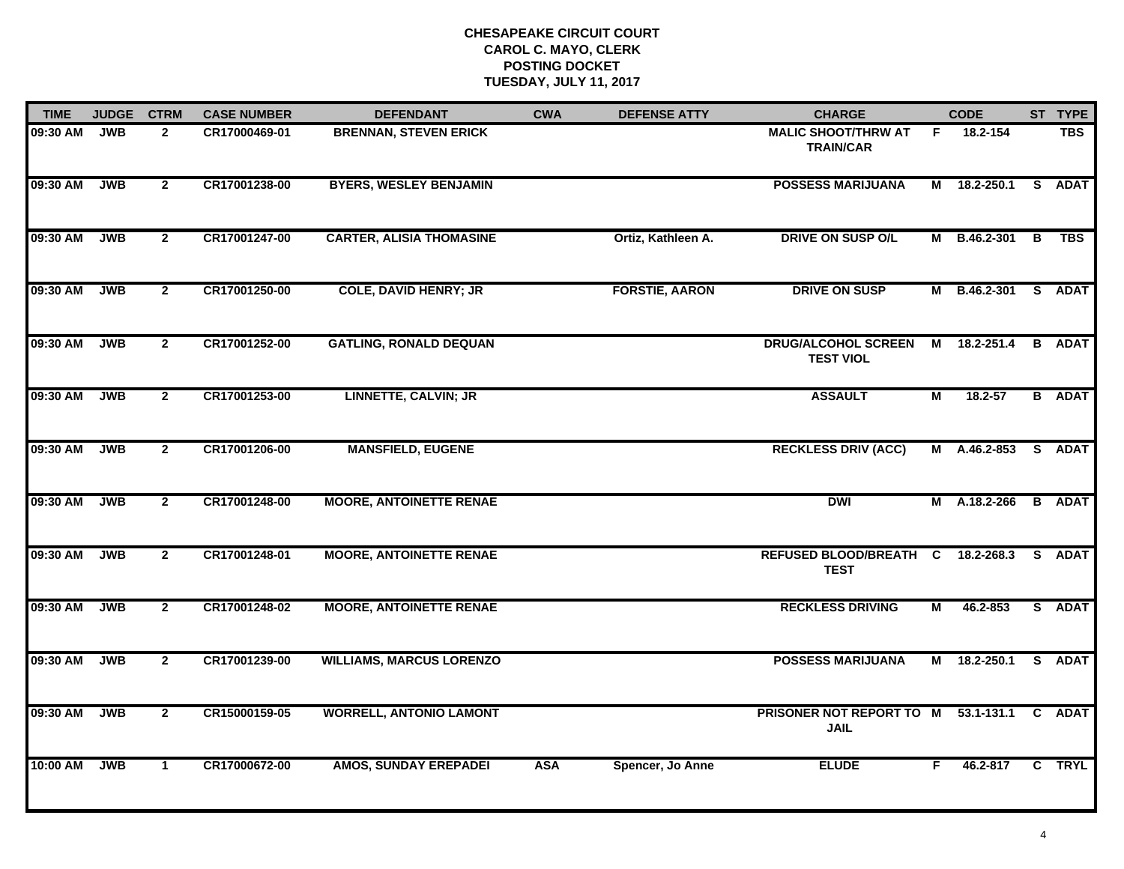| <b>TIME</b> | <b>JUDGE</b> | <b>CTRM</b>    | <b>CASE NUMBER</b> | <b>DEFENDANT</b>                | <b>CWA</b> | <b>DEFENSE ATTY</b>   | <b>CHARGE</b>                                      |    | <b>CODE</b>         |    | ST TYPE       |
|-------------|--------------|----------------|--------------------|---------------------------------|------------|-----------------------|----------------------------------------------------|----|---------------------|----|---------------|
| 09:30 AM    | <b>JWB</b>   | $\mathbf{2}$   | CR17000469-01      | <b>BRENNAN, STEVEN ERICK</b>    |            |                       | <b>MALIC SHOOT/THRW AT</b><br><b>TRAIN/CAR</b>     | F. | 18.2-154            |    | <b>TBS</b>    |
| 09:30 AM    | <b>JWB</b>   | $\overline{2}$ | CR17001238-00      | <b>BYERS, WESLEY BENJAMIN</b>   |            |                       | <b>POSSESS MARIJUANA</b>                           | M  | 18.2-250.1          | S. | <b>ADAT</b>   |
| 09:30 AM    | <b>JWB</b>   | $\mathbf{2}$   | CR17001247-00      | <b>CARTER, ALISIA THOMASINE</b> |            | Ortiz, Kathleen A.    | <b>DRIVE ON SUSP O/L</b>                           |    | M B.46.2-301 B      |    | <b>TBS</b>    |
| 09:30 AM    | <b>JWB</b>   | $\overline{2}$ | CR17001250-00      | <b>COLE, DAVID HENRY; JR</b>    |            | <b>FORSTIE, AARON</b> | <b>DRIVE ON SUSP</b>                               |    | M B.46.2-301 S ADAT |    |               |
| 09:30 AM    | <b>JWB</b>   | $\overline{2}$ | CR17001252-00      | <b>GATLING, RONALD DEQUAN</b>   |            |                       | <b>DRUG/ALCOHOL SCREEN</b><br><b>TEST VIOL</b>     | M  | 18.2-251.4          |    | <b>B</b> ADAT |
| 09:30 AM    | <b>JWB</b>   | $\overline{2}$ | CR17001253-00      | <b>LINNETTE, CALVIN; JR</b>     |            |                       | <b>ASSAULT</b>                                     | М  | 18.2-57             |    | <b>B</b> ADAT |
| 09:30 AM    | <b>JWB</b>   | $\overline{2}$ | CR17001206-00      | <b>MANSFIELD, EUGENE</b>        |            |                       | <b>RECKLESS DRIV (ACC)</b>                         |    | M A.46.2-853 S ADAT |    |               |
| 09:30 AM    | <b>JWB</b>   | $\overline{2}$ | CR17001248-00      | <b>MOORE, ANTOINETTE RENAE</b>  |            |                       | <b>DWI</b>                                         |    | M A.18.2-266        |    | <b>B</b> ADAT |
| 09:30 AM    | <b>JWB</b>   | $\mathbf{2}$   | CR17001248-01      | <b>MOORE, ANTOINETTE RENAE</b>  |            |                       | REFUSED BLOOD/BREATH C<br><b>TEST</b>              |    | 18.2-268.3          |    | S ADAT        |
| 09:30 AM    | <b>JWB</b>   | $\overline{2}$ | CR17001248-02      | <b>MOORE, ANTOINETTE RENAE</b>  |            |                       | <b>RECKLESS DRIVING</b>                            | М  | 46.2-853            |    | S ADAT        |
| 09:30 AM    | <b>JWB</b>   | $\overline{2}$ | CR17001239-00      | <b>WILLIAMS, MARCUS LORENZO</b> |            |                       | <b>POSSESS MARIJUANA</b>                           |    | M 18.2-250.1        |    | S ADAT        |
| 09:30 AM    | <b>JWB</b>   | $\overline{2}$ | CR15000159-05      | <b>WORRELL, ANTONIO LAMONT</b>  |            |                       | PRISONER NOT REPORT TO M 53.1-131.1<br><b>JAIL</b> |    |                     |    | C ADAT        |
| 10:00 AM    | <b>JWB</b>   | $\mathbf{1}$   | CR17000672-00      | <b>AMOS, SUNDAY EREPADEI</b>    | <b>ASA</b> | Spencer, Jo Anne      | <b>ELUDE</b>                                       | F  | 46.2-817            |    | C TRYL        |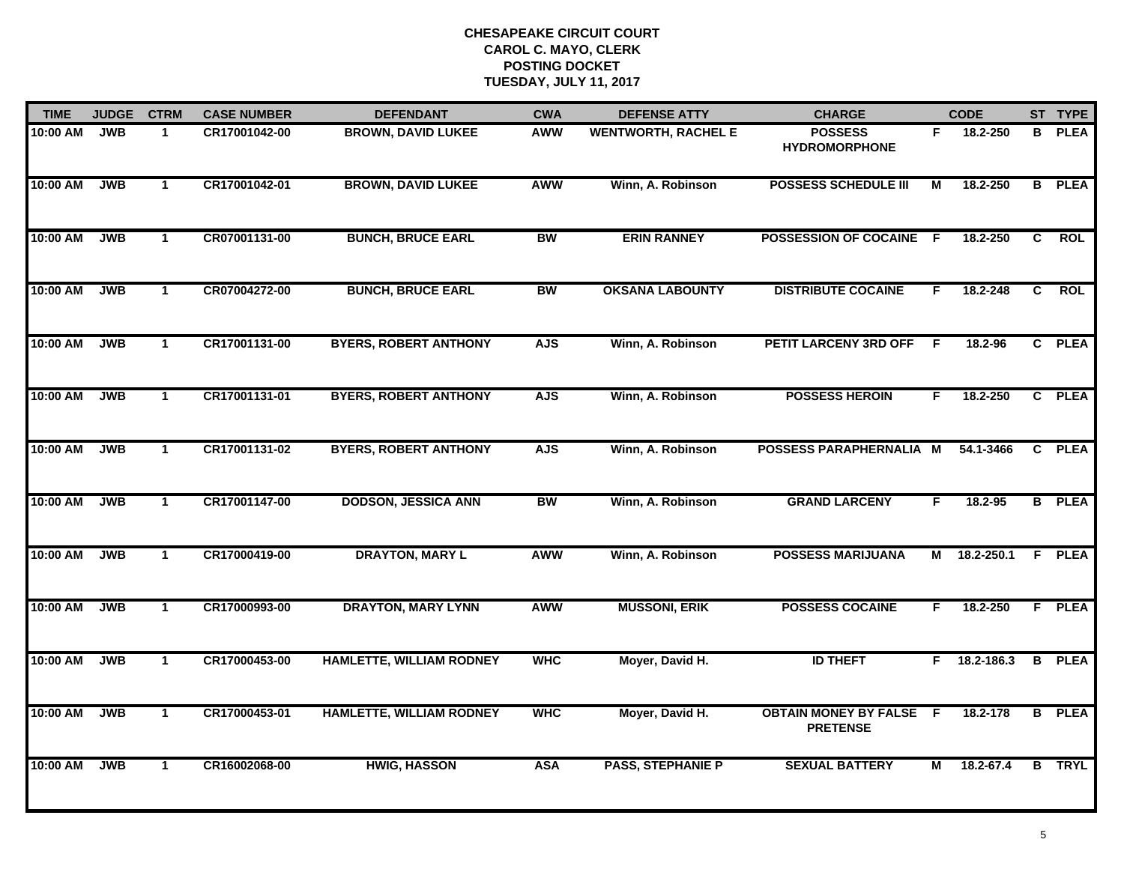| <b>TIME</b> | <b>JUDGE</b> | <b>CTRM</b>  | <b>CASE NUMBER</b> | <b>DEFENDANT</b>                | <b>CWA</b> | <b>DEFENSE ATTY</b>        | <b>CHARGE</b>                                   |     | <b>CODE</b>    |                | ST TYPE       |
|-------------|--------------|--------------|--------------------|---------------------------------|------------|----------------------------|-------------------------------------------------|-----|----------------|----------------|---------------|
| 10:00 AM    | <b>JWB</b>   | $\mathbf{1}$ | CR17001042-00      | <b>BROWN, DAVID LUKEE</b>       | AWW        | <b>WENTWORTH, RACHEL E</b> | <b>POSSESS</b><br><b>HYDROMORPHONE</b>          | F.  | 18.2-250       |                | <b>B</b> PLEA |
| 10:00 AM    | <b>JWB</b>   | $\mathbf{1}$ | CR17001042-01      | <b>BROWN, DAVID LUKEE</b>       | AWW        | Winn, A. Robinson          | <b>POSSESS SCHEDULE III</b>                     | М   | 18.2-250       |                | <b>B</b> PLEA |
| 10:00 AM    | <b>JWB</b>   | $\mathbf{1}$ | CR07001131-00      | <b>BUNCH, BRUCE EARL</b>        | <b>BW</b>  | <b>ERIN RANNEY</b>         | POSSESSION OF COCAINE                           | - F | 18.2-250       | $\overline{c}$ | <b>ROL</b>    |
| 10:00 AM    | <b>JWB</b>   | $\mathbf 1$  | CR07004272-00      | <b>BUNCH, BRUCE EARL</b>        | <b>BW</b>  | <b>OKSANA LABOUNTY</b>     | <b>DISTRIBUTE COCAINE</b>                       | F.  | 18.2-248       | C              | <b>ROL</b>    |
| 10:00 AM    | <b>JWB</b>   | $\mathbf{1}$ | CR17001131-00      | <b>BYERS, ROBERT ANTHONY</b>    | <b>AJS</b> | Winn, A. Robinson          | <b>PETIT LARCENY 3RD OFF</b>                    | -F  | $18.2 - 96$    |                | C PLEA        |
| 10:00 AM    | <b>JWB</b>   | $\mathbf{1}$ | CR17001131-01      | <b>BYERS, ROBERT ANTHONY</b>    | <b>AJS</b> | Winn, A. Robinson          | <b>POSSESS HEROIN</b>                           | F.  | 18.2-250       |                | C PLEA        |
| 10:00 AM    | <b>JWB</b>   | $\mathbf{1}$ | CR17001131-02      | <b>BYERS, ROBERT ANTHONY</b>    | <b>AJS</b> | Winn, A. Robinson          | POSSESS PARAPHERNALIA M                         |     | 54.1-3466      | $\mathbf{c}$   | <b>PLEA</b>   |
| 10:00 AM    | <b>JWB</b>   | $\mathbf{1}$ | CR17001147-00      | <b>DODSON, JESSICA ANN</b>      | <b>BW</b>  | Winn, A. Robinson          | <b>GRAND LARCENY</b>                            | F.  | 18.2-95        |                | <b>B</b> PLEA |
| 10:00 AM    | <b>JWB</b>   | $\mathbf{1}$ | CR17000419-00      | <b>DRAYTON, MARY L</b>          | AWW        | Winn, A. Robinson          | <b>POSSESS MARIJUANA</b>                        | М   | 18.2-250.1     |                | F PLEA        |
| 10:00 AM    | <b>JWB</b>   | $\mathbf{1}$ | CR17000993-00      | <b>DRAYTON, MARY LYNN</b>       | <b>AWW</b> | <b>MUSSONI, ERIK</b>       | <b>POSSESS COCAINE</b>                          | F.  | 18.2-250       |                | F PLEA        |
| 10:00 AM    | <b>JWB</b>   | $\mathbf 1$  | CR17000453-00      | <b>HAMLETTE, WILLIAM RODNEY</b> | <b>WHC</b> | Moyer, David H.            | <b>ID THEFT</b>                                 |     | $F$ 18.2-186.3 |                | <b>B</b> PLEA |
| 10:00 AM    | <b>JWB</b>   | $\mathbf{1}$ | CR17000453-01      | <b>HAMLETTE, WILLIAM RODNEY</b> | <b>WHC</b> | Moyer, David H.            | <b>OBTAIN MONEY BY FALSE</b><br><b>PRETENSE</b> | -F  | 18.2-178       |                | <b>B</b> PLEA |
| 10:00 AM    | <b>JWB</b>   | $\mathbf{1}$ | CR16002068-00      | <b>HWIG, HASSON</b>             | <b>ASA</b> | <b>PASS, STEPHANIE P</b>   | <b>SEXUAL BATTERY</b>                           | М   | 18.2-67.4      |                | <b>B</b> TRYL |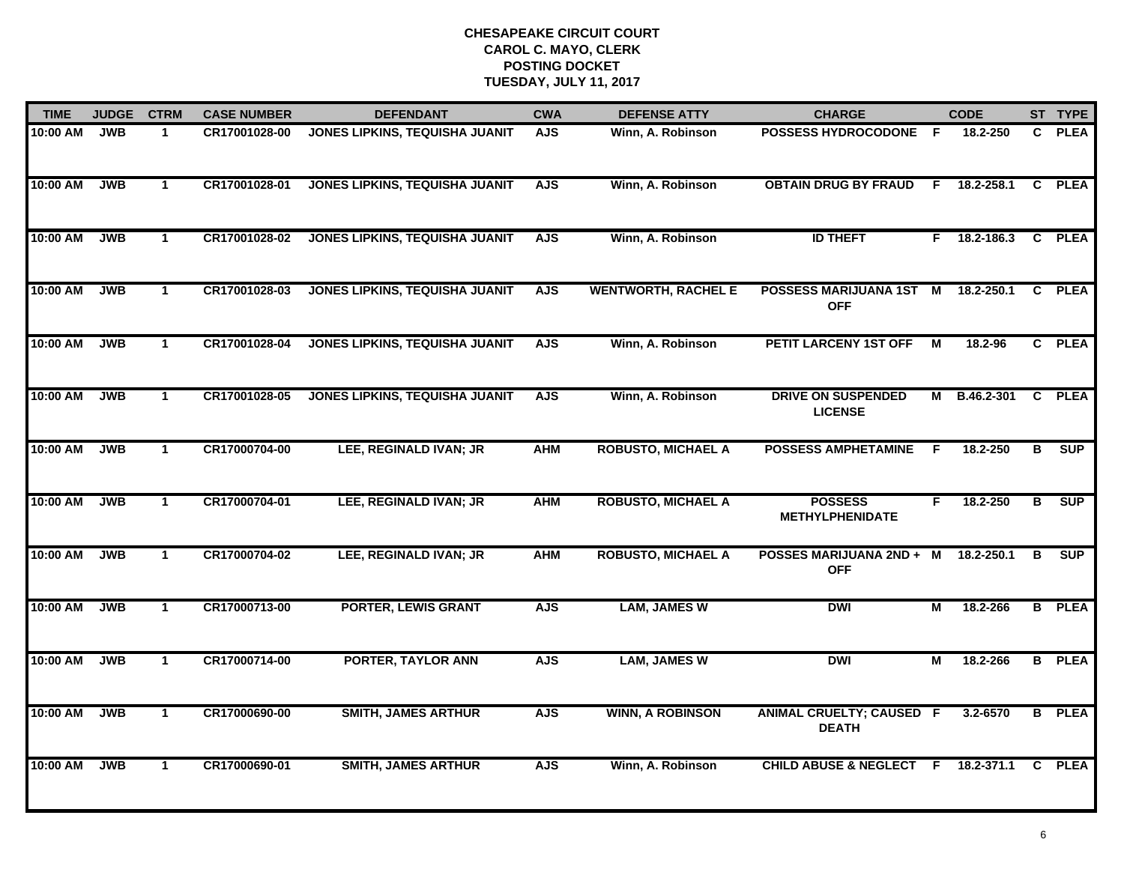| <b>TIME</b> | <b>JUDGE</b> | <b>CTRM</b>  | <b>CASE NUMBER</b> | <b>DEFENDANT</b>                      | <b>CWA</b> | <b>DEFENSE ATTY</b>        | <b>CHARGE</b>                                   |    | <b>CODE</b>  |                         | ST TYPE       |
|-------------|--------------|--------------|--------------------|---------------------------------------|------------|----------------------------|-------------------------------------------------|----|--------------|-------------------------|---------------|
| 10:00 AM    | <b>JWB</b>   | $\mathbf{1}$ | CR17001028-00      | JONES LIPKINS, TEQUISHA JUANIT        | <b>AJS</b> | Winn, A. Robinson          | <b>POSSESS HYDROCODONE F</b>                    |    | 18.2-250     | C.                      | <b>PLEA</b>   |
| 10:00 AM    | <b>JWB</b>   | $\mathbf 1$  | CR17001028-01      | JONES LIPKINS, TEQUISHA JUANIT        | <b>AJS</b> | Winn, A. Robinson          | <b>OBTAIN DRUG BY FRAUD</b>                     | E  | 18.2-258.1   | C                       | <b>PLEA</b>   |
| 10:00 AM    | <b>JWB</b>   | $\mathbf{1}$ | CR17001028-02      | <b>JONES LIPKINS, TEQUISHA JUANIT</b> | <b>AJS</b> | Winn, A. Robinson          | <b>ID THEFT</b>                                 | F. | 18.2-186.3   |                         | C PLEA        |
| 10:00 AM    | <b>JWB</b>   | $\mathbf 1$  | CR17001028-03      | <b>JONES LIPKINS, TEQUISHA JUANIT</b> | <b>AJS</b> | <b>WENTWORTH, RACHEL E</b> | POSSESS MARIJUANA 1ST M<br><b>OFF</b>           |    | 18.2-250.1   | C                       | <b>PLEA</b>   |
| 10:00 AM    | <b>JWB</b>   | $\mathbf 1$  | CR17001028-04      | <b>JONES LIPKINS, TEQUISHA JUANIT</b> | <b>AJS</b> | Winn, A. Robinson          | PETIT LARCENY 1ST OFF                           | М  | 18.2-96      |                         | C PLEA        |
| 10:00 AM    | <b>JWB</b>   | $\mathbf{1}$ | CR17001028-05      | <b>JONES LIPKINS, TEQUISHA JUANIT</b> | <b>AJS</b> | Winn, A. Robinson          | <b>DRIVE ON SUSPENDED</b><br><b>LICENSE</b>     |    | M B.46.2-301 | C.                      | <b>PLEA</b>   |
| 10:00 AM    | <b>JWB</b>   | $\mathbf{1}$ | CR17000704-00      | LEE, REGINALD IVAN; JR                | <b>AHM</b> | <b>ROBUSTO, MICHAEL A</b>  | <b>POSSESS AMPHETAMINE</b>                      | -F | 18.2-250     | В                       | <b>SUP</b>    |
| 10:00 AM    | <b>JWB</b>   | $\mathbf{1}$ | CR17000704-01      | LEE, REGINALD IVAN; JR                | <b>AHM</b> | <b>ROBUSTO, MICHAEL A</b>  | <b>POSSESS</b><br><b>METHYLPHENIDATE</b>        | F  | 18.2-250     | $\overline{\mathbf{B}}$ | <b>SUP</b>    |
| 10:00 AM    | <b>JWB</b>   | $\mathbf 1$  | CR17000704-02      | LEE, REGINALD IVAN; JR                | <b>AHM</b> | <b>ROBUSTO, MICHAEL A</b>  | <b>POSSES MARIJUANA 2ND + M</b><br><b>OFF</b>   |    | 18.2-250.1   | B                       | <b>SUP</b>    |
| 10:00 AM    | <b>JWB</b>   | $\mathbf 1$  | CR17000713-00      | <b>PORTER, LEWIS GRANT</b>            | <b>AJS</b> | <b>LAM, JAMES W</b>        | <b>DWI</b>                                      | М  | 18.2-266     |                         | <b>B</b> PLEA |
| 10:00 AM    | <b>JWB</b>   | $\mathbf{1}$ | CR17000714-00      | <b>PORTER, TAYLOR ANN</b>             | <b>AJS</b> | <b>LAM, JAMES W</b>        | <b>DWI</b>                                      | М  | 18.2-266     |                         | <b>B</b> PLEA |
| 10:00 AM    | <b>JWB</b>   | $\mathbf{1}$ | CR17000690-00      | <b>SMITH, JAMES ARTHUR</b>            | <b>AJS</b> | <b>WINN, A ROBINSON</b>    | <b>ANIMAL CRUELTY; CAUSED F</b><br><b>DEATH</b> |    | 3.2-6570     | B                       | <b>PLEA</b>   |
| 10:00 AM    | <b>JWB</b>   | $\mathbf{1}$ | CR17000690-01      | <b>SMITH, JAMES ARTHUR</b>            | <b>AJS</b> | Winn, A. Robinson          | <b>CHILD ABUSE &amp; NEGLECT</b>                | -F | 18.2-371.1   | C                       | <b>PLEA</b>   |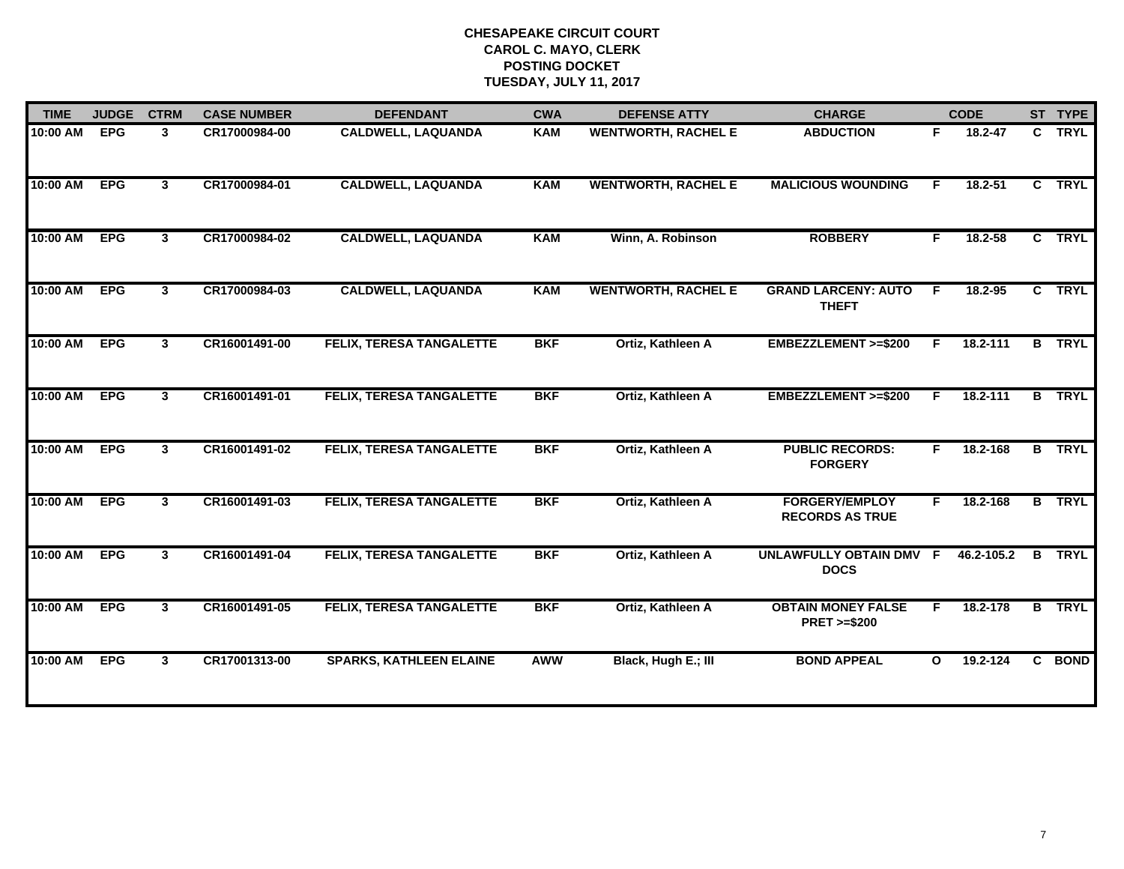| <b>TIME</b> | <b>JUDGE</b> | <b>CTRM</b>    | <b>CASE NUMBER</b> | <b>DEFENDANT</b>                | <b>CWA</b> | <b>DEFENSE ATTY</b>        | <b>CHARGE</b>                                       |              | <b>CODE</b> |              | ST TYPE       |
|-------------|--------------|----------------|--------------------|---------------------------------|------------|----------------------------|-----------------------------------------------------|--------------|-------------|--------------|---------------|
| 10:00 AM    | <b>EPG</b>   | $\mathbf{3}$   | CR17000984-00      | <b>CALDWELL, LAQUANDA</b>       | <b>KAM</b> | <b>WENTWORTH, RACHEL E</b> | <b>ABDUCTION</b>                                    | F.           | 18.2-47     | $\mathbf{c}$ | <b>TRYL</b>   |
| 10:00 AM    | <b>EPG</b>   | 3 <sup>1</sup> | CR17000984-01      | <b>CALDWELL, LAQUANDA</b>       | <b>KAM</b> | <b>WENTWORTH, RACHEL E</b> | <b>MALICIOUS WOUNDING</b>                           | F.           | $18.2 - 51$ |              | C TRYL        |
| 10:00 AM    | <b>EPG</b>   | 3 <sup>1</sup> | CR17000984-02      | <b>CALDWELL, LAQUANDA</b>       | KAM        | Winn, A. Robinson          | <b>ROBBERY</b>                                      | F.           | 18.2-58     |              | C TRYL        |
| 10:00 AM    | <b>EPG</b>   | $\mathbf{3}$   | CR17000984-03      | <b>CALDWELL, LAQUANDA</b>       | <b>KAM</b> | <b>WENTWORTH, RACHEL E</b> | <b>GRAND LARCENY: AUTO</b><br><b>THEFT</b>          | -F           | 18.2-95     |              | C TRYL        |
| 10:00 AM    | <b>EPG</b>   | $\mathbf{3}$   | CR16001491-00      | FELIX, TERESA TANGALETTE        | <b>BKF</b> | Ortiz, Kathleen A          | EMBEZZLEMENT >=\$200                                | F.           | 18.2-111    |              | <b>B</b> TRYL |
| 10:00 AM    | <b>EPG</b>   | 3              | CR16001491-01      | <b>FELIX, TERESA TANGALETTE</b> | <b>BKF</b> | Ortiz, Kathleen A          | <b>EMBEZZLEMENT &gt;=\$200</b>                      | F            | 18.2-111    |              | <b>B</b> TRYL |
| 10:00 AM    | <b>EPG</b>   | 3              | CR16001491-02      | <b>FELIX, TERESA TANGALETTE</b> | <b>BKF</b> | Ortiz, Kathleen A          | <b>PUBLIC RECORDS:</b><br><b>FORGERY</b>            | F.           | 18.2-168    |              | <b>B</b> TRYL |
| 10:00 AM    | <b>EPG</b>   | $\mathbf{3}$   | CR16001491-03      | <b>FELIX, TERESA TANGALETTE</b> | <b>BKF</b> | Ortiz, Kathleen A          | <b>FORGERY/EMPLOY</b><br><b>RECORDS AS TRUE</b>     | F.           | 18.2-168    |              | <b>B</b> TRYL |
| 10:00 AM    | <b>EPG</b>   | $\mathbf{3}$   | CR16001491-04      | <b>FELIX, TERESA TANGALETTE</b> | <b>BKF</b> | Ortiz, Kathleen A          | UNLAWFULLY OBTAIN DMV F<br><b>DOCS</b>              |              | 46.2-105.2  | $\mathbf{B}$ | <b>TRYL</b>   |
| 10:00 AM    | <b>EPG</b>   | 3              | CR16001491-05      | FELIX, TERESA TANGALETTE        | <b>BKF</b> | Ortiz, Kathleen A          | <b>OBTAIN MONEY FALSE</b><br><b>PRET &gt;=\$200</b> | F.           | 18.2-178    | B.           | <b>TRYL</b>   |
| 10:00 AM    | <b>EPG</b>   | $\mathbf{3}$   | CR17001313-00      | <b>SPARKS, KATHLEEN ELAINE</b>  | <b>AWW</b> | Black, Hugh E.; III        | <b>BOND APPEAL</b>                                  | $\mathbf{o}$ | 19.2-124    |              | C BOND        |